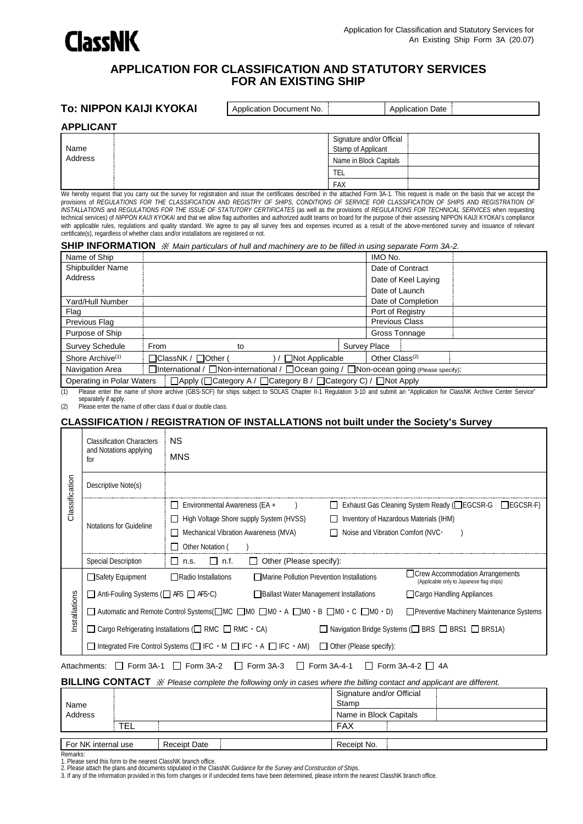

#### **APPLICATION FOR CLASSIFICATION AND STATUTORY SERVICES FOR AN EXISTING SHIP**

#### **To: NIPPON KAIJI KYOKAI** Application Document No. Application Date

#### **APPLICANT**

| .               |                                                 |  |  |  |  |
|-----------------|-------------------------------------------------|--|--|--|--|
| Name<br>Address | Signature and/or Official<br>Stamp of Applicant |  |  |  |  |
|                 | Name in Block Capitals                          |  |  |  |  |
|                 | <b>TEL</b>                                      |  |  |  |  |
|                 | <b>FAX</b>                                      |  |  |  |  |

We hereby request that you carry out the survey for registration and issue the certificates described in the attached Form 3A-1. This request is made on the basis that we accept the provisions of *REGULATIONS FOR THE CLASSIFICATION AND REGISTRY OF SHIPS, CONDITIONS OF SERVICE FOR CLASSIFICATION OF SHIPS AND REGISTRATION OF INSTALLATIONS* and *REGULATIONS FOR THE ISSUE OF STATUTORY CERTIFICATES* (as well as the provisions of *REGULATIONS FOR TECHNICAL SERVICES* when requesting technical services) of *NIPPON KAIJI KYOKAI* and that we allow flag authorities and authorized audit teams on board for the purpose of their assessing NIPPON KAIJI KYOKAI's compliance with applicable rules, regulations and quality standard. We agree to pay all survey fees and expenses incurred as a result of the above-mentioned survey and issuance of relevant certificate(s), regardless of whether class and/or installations are registered or not.

#### **SHIP INFORMATION** ※ *Main particulars of hull and machinery are to be filled in using separate Form 3A-2.*

| Name of Ship                 |                                                                                                                 |    |                       | IMO No.                    |  |
|------------------------------|-----------------------------------------------------------------------------------------------------------------|----|-----------------------|----------------------------|--|
| Shipbuilder Name             |                                                                                                                 |    |                       | Date of Contract           |  |
| Address                      |                                                                                                                 |    |                       | Date of Keel Laying        |  |
|                              |                                                                                                                 |    |                       | Date of Launch             |  |
| Yard/Hull Number             |                                                                                                                 |    |                       | Date of Completion         |  |
| Flag                         |                                                                                                                 |    |                       | Port of Registry           |  |
| Previous Flag                |                                                                                                                 |    |                       | <b>Previous Class</b>      |  |
| Purpose of Ship              |                                                                                                                 |    |                       | Gross Tonnage              |  |
| <b>Survey Schedule</b>       | From                                                                                                            | to |                       | Survey Place               |  |
| Shore Archive <sup>(1)</sup> | □ClassNK / □Other (                                                                                             |    | $\Box$ Not Applicable | Other Class <sup>(2)</sup> |  |
| Navigation Area              | $\Box$ International / $\Box$ Non-international / $\Box$ Ocean going / $\Box$ Non-ocean going (Please specify): |    |                       |                            |  |
| Operating in Polar Waters    | □ Apply (□ Category A / □ Category B / □ Category C) / □ Not Apply                                              |    |                       |                            |  |
|                              |                                                                                                                 |    |                       |                            |  |

(1) Please enter the name of shore archive (GBS-SCF) for ships subject to SOLAS Chapter II-1 Regulation 3-10 and submit an "Application for ClassNK Archive Center Service" separately if apply.

(2) Please enter the name of other class if dual or double class.

#### **CLASSIFICATION / REGISTRATION OF INSTALLATIONS not built under the Society's Survey**

|                | <b>Classification Characters</b>                               | <b>NS</b>                                                                                                                                                |
|----------------|----------------------------------------------------------------|----------------------------------------------------------------------------------------------------------------------------------------------------------|
|                | and Notations applying<br>for                                  | <b>MNS</b>                                                                                                                                               |
| Classification | Descriptive Note(s)                                            |                                                                                                                                                          |
|                |                                                                | Environmental Awareness (EA +<br>□ Exhaust Gas Cleaning System Ready (□EGCSR-G<br>$\Box$ EGCSR-F)<br>$\mathbf{I}$                                        |
|                | Notations for Guideline                                        | High Voltage Shore supply System (HVSS)<br>Inventory of Hazardous Materials (IHM)                                                                        |
|                |                                                                | Mechanical Vibration Awareness (MVA)<br>Noise and Vibration Comfort (NVC ·                                                                               |
|                |                                                                | Other Notation (                                                                                                                                         |
|                | <b>Special Description</b>                                     | $\Box$ n.f.<br>$\Box$ n.s.<br>$\Box$ Other (Please specify):                                                                                             |
|                | □Safety Equipment                                              | Crew Accommodation Arrangements<br>$\Box$ Radio Installations<br>□ Marine Pollution Prevention Installations<br>(Applicable only to Japanese flag ships) |
|                | $\Box$ Anti-Fouling Systems ( $\Box$ AFS $\Box$ AFS $\cdot$ C) | <b>Ballast Water Management Installations</b><br>Cargo Handling Appliances                                                                               |
| Installations  |                                                                | □ Automatic and Remote Control Systems(□MC □M0 □M0 · A □M0 · B □M0 · C □M0 · D)<br>Preventive Machinery Maintenance Systems                              |
|                |                                                                | $\Box$ Cargo Refrigerating Installations ( $\Box$ RMC $\Box$ RMC $\cdot$ CA)<br>□ Navigation Bridge Systems (□ BRS □ BRS1 □ BRS1A)                       |
|                |                                                                | $\Box$ Integrated Fire Control Systems ( $\Box$ IFC $\cdot$ M $\Box$ IFC $\cdot$ A $\Box$ IFC $\cdot$ AM)<br>Other (Please specify):                     |
|                | $\Box$<br>Attachments:                                         | Form $3A-1$ $\Box$ Form $3A-2$<br>$\Box$ Form 3A-3<br>$\Box$ Form 3A-4-1<br>$\Box$ Form 3A-4-2 $\Box$ 4A                                                 |
|                |                                                                | BILLING CONTACT $\mathcal X$ Please complete the following only in cases where the billing contact and applicant are different.                          |
|                |                                                                | Signature and/or Official                                                                                                                                |
| Name           |                                                                | Stamp                                                                                                                                                    |
| Address        | TEL                                                            | Name in Block Capitals<br><b>FAX</b>                                                                                                                     |
|                |                                                                |                                                                                                                                                          |

For NK internal use Receipt Date Receipt No. Remarks:

1. Please send this form to the nearest ClassNK branch office. 2. Please attach the plans and documents stipulated in the ClassNK *Guidance for the Survey and Construction of Ships*.

3. If any of the information provided in this form changes or if undecided items have been determined, please inform the nearest ClassNK branch office.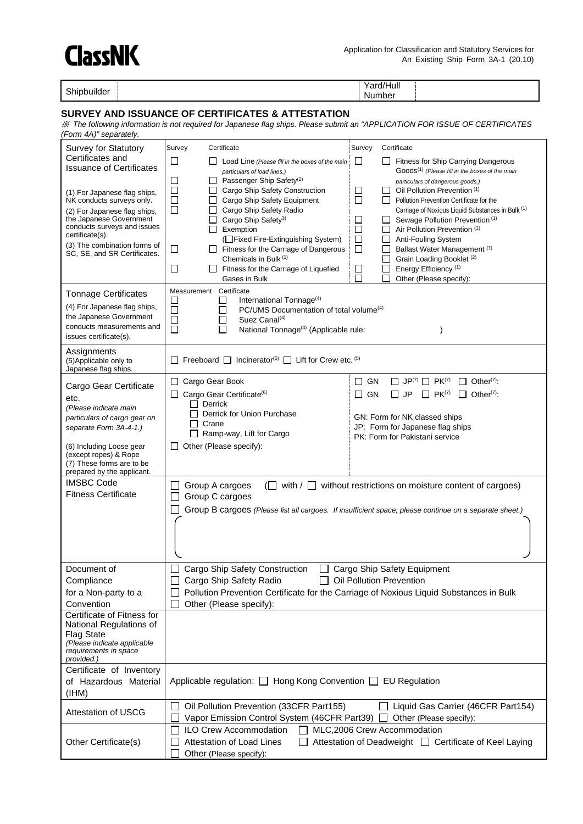# **ClassNK**

Shipbuilder **Yard/Hull** 

Number

#### **SURVEY AND ISSUANCE OF CERTIFICATES & ATTESTATION**

※ *The following information is not required for Japanese flag ships. Please submit an "APPLICATION FOR ISSUE OF CERTIFICATES (Form 4A)" separately.*

| Survey for Statutory                                        | Survey<br>Certificate                                                                                                   | Certificate<br>Survey                                                                                  |  |  |
|-------------------------------------------------------------|-------------------------------------------------------------------------------------------------------------------------|--------------------------------------------------------------------------------------------------------|--|--|
| Certificates and                                            | $\Box$<br>L I<br>Load Line (Please fill in the boxes of the main                                                        | $\Box$<br>Fitness for Ship Carrying Dangerous<br>ப                                                     |  |  |
| <b>Issuance of Certificates</b>                             | particulars of load lines.)                                                                                             | Goods <sup>(1)</sup> (Please fill in the boxes of the main                                             |  |  |
| (1) For Japanese flag ships,                                | Passenger Ship Safety <sup>(2)</sup><br>$\mathcal{L}_{\mathcal{A}}$<br>ப<br>□<br>⊔<br>Cargo Ship Safety Construction    | particulars of dangerous goods.)<br>$\Box$<br>Oil Pollution Prevention (1)<br>ப                        |  |  |
| NK conducts surveys only.                                   | Cargo Ship Safety Equipment<br>⊔                                                                                        | □<br>Pollution Prevention Certificate for the                                                          |  |  |
| (2) For Japanese flag ships,<br>the Japanese Government     | $\Box$<br>Cargo Ship Safety Radio<br>Cargo Ship Safety <sup>3)</sup><br>$\Box$                                          | Carriage of Noxious Liquid Substances in Bulk (1)<br>ப<br>Sewage Pollution Prevention (1)<br>ப         |  |  |
| conducts surveys and issues<br>certificate(s).              | Exemption                                                                                                               | □<br>Air Pollution Prevention (1)                                                                      |  |  |
| (3) The combination forms of                                | (Fixed Fire-Extinguishing System)                                                                                       | □<br>Anti-Fouling System<br>ப<br>$\Box$                                                                |  |  |
| SC, SE, and SR Certificates.                                | $\Box$ Fitness for the Carriage of Dangerous<br>ப<br>Chemicals in Bulk (1)                                              | Ballast Water Management (1)<br>ப<br>Grain Loading Booklet (2)                                         |  |  |
|                                                             | $\sqcup$<br>Fitness for the Carriage of Liquefied<br>ப                                                                  | Energy Efficiency <sup>(1)</sup><br>$\Box$<br>$\Box$                                                   |  |  |
|                                                             | Gases in Bulk<br>Measurement Certificate                                                                                | Other (Please specify):                                                                                |  |  |
| <b>Tonnage Certificates</b><br>(4) For Japanese flag ships, | International Tonnage <sup>(4)</sup><br>$\Box$<br>$\overline{\phantom{a}}$                                              |                                                                                                        |  |  |
| the Japanese Government                                     | PC/UMS Documentation of total volume <sup>(4)</sup><br>$\Box$<br>$\mathsf{L}$<br>Suez Canal $(4)$<br>□<br>$\mathcal{L}$ |                                                                                                        |  |  |
| conducts measurements and                                   | □<br>National Tonnage <sup>(4)</sup> (Applicable rule:<br>$\Box$                                                        |                                                                                                        |  |  |
| issues certificate(s).                                      |                                                                                                                         |                                                                                                        |  |  |
| Assignments<br>(5) Applicable only to                       | Freeboard $\Box$ Incinerator <sup>(5)</sup> $\Box$ Lift for Crew etc. <sup>(5)</sup><br>ΙI                              |                                                                                                        |  |  |
| Japanese flag ships.                                        |                                                                                                                         |                                                                                                        |  |  |
| Cargo Gear Certificate                                      | Cargo Gear Book<br>l 1                                                                                                  | $\Box$ JP <sup>(7)</sup> $\Box$ PK <sup>(7)</sup><br>$\Box$ Other <sup>(7)</sup> :<br>$\Box$ GN        |  |  |
| etc.                                                        | Cargo Gear Certificate <sup>(6)</sup><br>ப<br>Derrick                                                                   | $\Box$ GN<br><b>JP</b><br>$\Box$ PK <sup>(7)</sup><br>$\Box$ Other <sup>(7)</sup> :<br>П               |  |  |
| (Please indicate main<br>particulars of cargo gear on       | Derrick for Union Purchase                                                                                              | GN: Form for NK classed ships                                                                          |  |  |
| separate Form 3A-4-1.)                                      | П<br>Crane                                                                                                              | JP: Form for Japanese flag ships                                                                       |  |  |
|                                                             | Ramp-way, Lift for Cargo                                                                                                | PK: Form for Pakistani service                                                                         |  |  |
| (6) Including Loose gear<br>(except ropes) & Rope           | Other (Please specify):                                                                                                 |                                                                                                        |  |  |
| (7) These forms are to be<br>prepared by the applicant.     |                                                                                                                         |                                                                                                        |  |  |
| <b>IMSBC Code</b>                                           | Group A cargoes                                                                                                         | $\Box$ with / $\Box$ without restrictions on moisture content of cargoes)                              |  |  |
| <b>Fitness Certificate</b>                                  | Group C cargoes                                                                                                         |                                                                                                        |  |  |
|                                                             |                                                                                                                         | Group B cargoes (Please list all cargoes. If insufficient space, please continue on a separate sheet.) |  |  |
|                                                             |                                                                                                                         |                                                                                                        |  |  |
|                                                             |                                                                                                                         |                                                                                                        |  |  |
|                                                             |                                                                                                                         |                                                                                                        |  |  |
| Document of                                                 | Cargo Ship Safety Construction<br>$\Box$                                                                                | Cargo Ship Safety Equipment                                                                            |  |  |
| Compliance                                                  | Cargo Ship Safety Radio                                                                                                 | □ Oil Pollution Prevention                                                                             |  |  |
| for a Non-party to a                                        |                                                                                                                         | Pollution Prevention Certificate for the Carriage of Noxious Liquid Substances in Bulk                 |  |  |
| Convention<br>Certificate of Fitness for                    | Other (Please specify):                                                                                                 |                                                                                                        |  |  |
| National Regulations of                                     |                                                                                                                         |                                                                                                        |  |  |
| <b>Flag State</b>                                           |                                                                                                                         |                                                                                                        |  |  |
| (Please indicate applicable<br>requirements in space        |                                                                                                                         |                                                                                                        |  |  |
| provided.)                                                  |                                                                                                                         |                                                                                                        |  |  |
| Certificate of Inventory<br>of Hazardous Material           | Applicable regulation: □ Hong Kong Convention □ EU Regulation                                                           |                                                                                                        |  |  |
| (HHM)                                                       |                                                                                                                         |                                                                                                        |  |  |
|                                                             |                                                                                                                         |                                                                                                        |  |  |
|                                                             | Oil Pollution Prevention (33CFR Part155)                                                                                | Liquid Gas Carrier (46CFR Part154)                                                                     |  |  |
| <b>Attestation of USCG</b>                                  | Vapor Emission Control System (46CFR Part39)                                                                            | Other (Please specify):                                                                                |  |  |
| Other Certificate(s)                                        | ILO Crew Accommodation<br>Attestation of Load Lines                                                                     | MLC,2006 Crew Accommodation<br>Attestation of Deadweight □ Certificate of Keel Laying                  |  |  |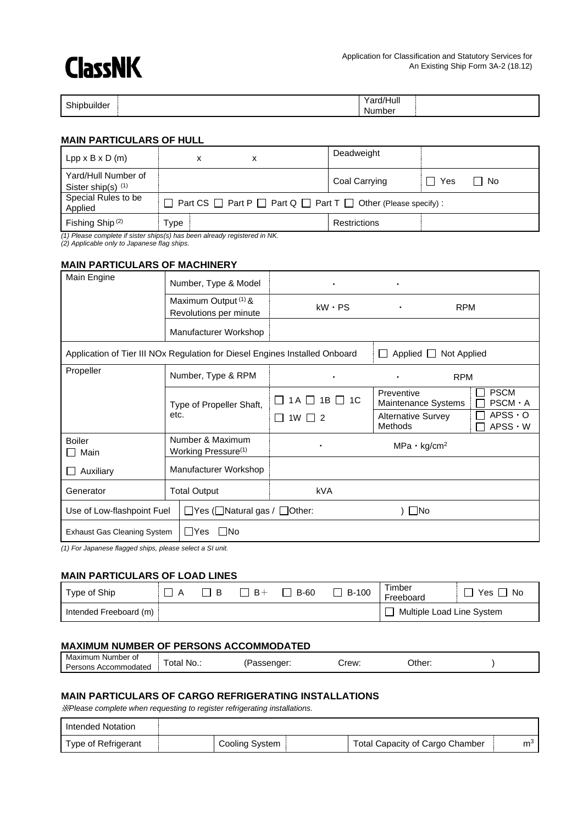## **ClassNK**

| Shipbuilder | Yard/Hull<br>_____ |  |
|-------------|--------------------|--|
| .           | Number             |  |

#### **MAIN PARTICULARS OF HULL**

| $Lpp \times B \times D$ (m)                      | х                                                                                 | Deadweight    |             |
|--------------------------------------------------|-----------------------------------------------------------------------------------|---------------|-------------|
| Yard/Hull Number of<br>Sister ship(s) $(1)$      |                                                                                   | Coal Carrying | □ No<br>Yes |
| Special Rules to be<br>Applied                   | Part CS $\Box$ Part P $\Box$ Part Q $\Box$ Part T $\Box$ Other (Please specify) : |               |             |
| Fishing Ship <sup>(2)</sup><br>$\cdots$ $\cdots$ | ⊺vpe                                                                              | Restrictions  |             |

*(1) Please complete if sister ships(s) has been already registered in NK.*

*(2) Applicable only to Japanese flag ships.*

#### **MAIN PARTICULARS OF MACHINERY**

| Main Engine                      | Number, Type & Model                                                        |                      |                                             |                                               |
|----------------------------------|-----------------------------------------------------------------------------|----------------------|---------------------------------------------|-----------------------------------------------|
|                                  | Maximum Output (1) &<br>Revolutions per minute                              |                      | <b>RPM</b><br>٠                             |                                               |
|                                  | Manufacturer Workshop                                                       |                      |                                             |                                               |
|                                  | Application of Tier III NOx Regulation for Diesel Engines Installed Onboard |                      | Applied □ Not Applied<br>$\perp$            |                                               |
| Propeller                        | Number, Type & RPM                                                          | $\bullet$            | <b>RPM</b><br>$\bullet$                     |                                               |
|                                  | Type of Propeller Shaft,                                                    | $1A \Box 1B \Box 1C$ | Preventive<br>Maintenance Systems           | <b>PSCM</b><br>$\mathbf{I}$<br>$PSCM \cdot A$ |
|                                  | etc.                                                                        | $1W \Box 2$          | <b>Alternative Survey</b><br><b>Methods</b> | $APSS \cdot O$<br>$APSS \cdot W$              |
| <b>Boiler</b><br>Main            | Number & Maximum<br>Working Pressure <sup>(1)</sup>                         | $\bullet$            | $MPa \cdot kg/cm^2$                         |                                               |
| Auxiliary                        | Manufacturer Workshop                                                       |                      |                                             |                                               |
| <b>Total Output</b><br>Generator |                                                                             | <b>kVA</b>           |                                             |                                               |
| Use of Low-flashpoint Fuel       | $\Box$ Yes ( $\Box$ Natural gas / $\Box$ Other:                             |                      | $\Box$ No                                   |                                               |
| Exhaust Gas Cleaning System      | No<br>l IYes                                                                |                      |                                             |                                               |

*(1) For Japanese flagged ships, please select a SI unit.*

#### **MAIN PARTICULARS OF LOAD LINES**

| Type of Ship           | B | $B +$ | <b>B-60</b> | <b>B-100</b> | Timber<br>Freeboard       | Yes<br>.No |
|------------------------|---|-------|-------------|--------------|---------------------------|------------|
| Intended Freeboard (m) |   |       |             |              | Multiple Load Line System |            |

#### **MAXIMUM NUMBER OF PERSONS ACCOMMODATED**

| Maximum<br>Number of<br>. Accommodated<br>Persons | otal<br>' No<br>$\sim$ | assender: | Crew:<br>___ | ่ Other:<br>____ |  |
|---------------------------------------------------|------------------------|-----------|--------------|------------------|--|
|---------------------------------------------------|------------------------|-----------|--------------|------------------|--|

#### **MAIN PARTICULARS OF CARGO REFRIGERATING INSTALLATIONS**

※*Please complete when requesting to register refrigerating installations.*

| I Intended Notation |                |                                        |                |
|---------------------|----------------|----------------------------------------|----------------|
| Type of Refrigerant | Cooling System | <b>Total Capacity of Cargo Chamber</b> | m <sup>3</sup> |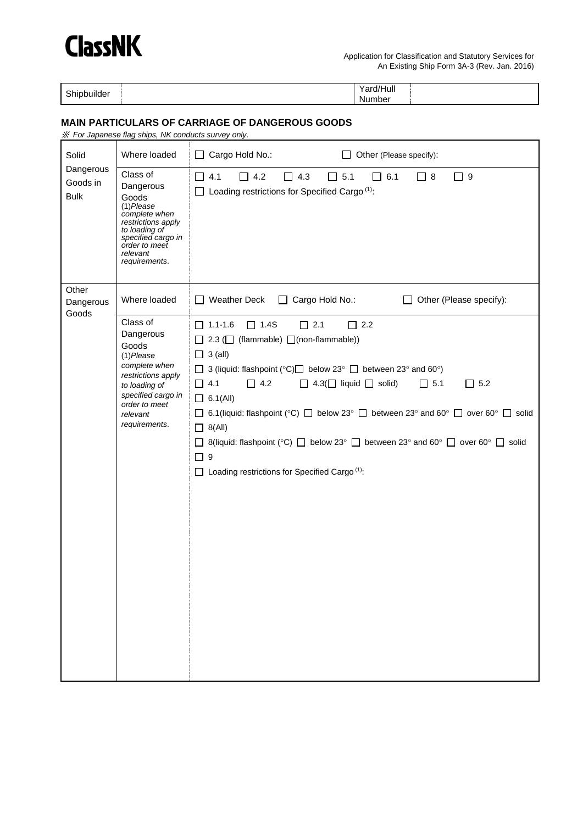

Shipbuilder **Yard/Hull** 

Number

#### **MAIN PARTICULARS OF CARRIAGE OF DANGEROUS GOODS**

|                                      | * For Japanese flag ships, NK conducts survey only.                                                                                                                        |                                                                                                                                                                                                                                                                                                                                                                                                                                                                                                                                                                                                                                                                     |
|--------------------------------------|----------------------------------------------------------------------------------------------------------------------------------------------------------------------------|---------------------------------------------------------------------------------------------------------------------------------------------------------------------------------------------------------------------------------------------------------------------------------------------------------------------------------------------------------------------------------------------------------------------------------------------------------------------------------------------------------------------------------------------------------------------------------------------------------------------------------------------------------------------|
| Solid                                | Where loaded                                                                                                                                                               | $\Box$ Cargo Hold No.:<br>Other (Please specify):<br>$\Box$                                                                                                                                                                                                                                                                                                                                                                                                                                                                                                                                                                                                         |
| Dangerous<br>Goods in<br><b>Bulk</b> | Class of<br>Dangerous<br>Goods<br>$(1)$ Please<br>complete when<br>restrictions apply<br>to loading of<br>specified cargo in<br>order to meet<br>relevant<br>requirements. | $\Box$ 4.2<br>$\Box$ 5.1<br>$\Box$ 9<br>$\Box$ 4.1<br>4.3<br>6.1<br>$\Box$ 8<br>ΙI<br>$\mathsf{L}$<br>$\Box$ Loading restrictions for Specified Cargo $(1)$ :                                                                                                                                                                                                                                                                                                                                                                                                                                                                                                       |
| Other<br>Dangerous<br>Goods          | Where loaded                                                                                                                                                               | $\Box$ Weather Deck<br>$\Box$ Cargo Hold No.:<br>Other (Please specify):<br>$\Box$                                                                                                                                                                                                                                                                                                                                                                                                                                                                                                                                                                                  |
|                                      | Class of<br>Dangerous<br>Goods<br>$(1)$ Please<br>complete when<br>restrictions apply<br>to loading of<br>specified cargo in<br>order to meet<br>relevant<br>requirements. | $\boxed{\phantom{1}}$ 1.1-1.6<br>$\Box$ 1.4S<br>$\Box$ 2.1<br>$\Box$ 2.2<br>$\Box$ 2.3 ( $\Box$ (flammable) $\Box$ (non-flammable))<br>$\Box$ 3 (all)<br>□ 3 (liquid: flashpoint (°C) below 23° □ between 23° and 60°)<br>$\Box$ 4.1<br>$\Box$ 4.2<br>$\Box$ 4.3( $\Box$ liquid $\Box$ solid)<br>$\Box$ 5.1<br>$\Box$ 5.2<br>$\Box$ 6.1(All)<br>$\Box$ 6.1(liquid: flashpoint (°C) $\Box$ below 23° $\Box$ between 23° and 60° $\Box$ over 60° $\Box$ solid<br>$\Box$ 8(All)<br>$\Box$ 8(liquid: flashpoint (°C) $\Box$ below 23° $\Box$ between 23° and 60° $\Box$ over 60° $\Box$ solid<br>$\square$ 9<br>$\Box$ Loading restrictions for Specified Cargo $(1)$ : |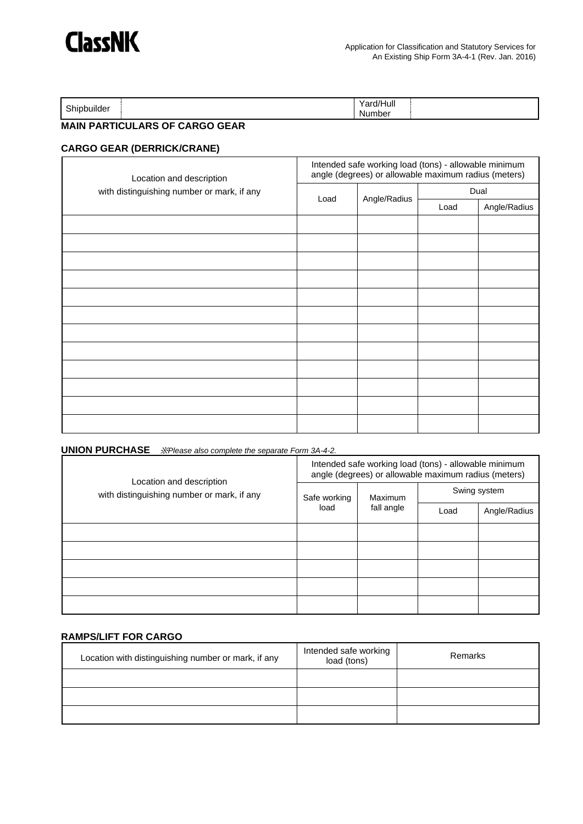| <b>Chinhi</b> m<br>pbuilder | .<br>J /I I.<br>$\ddot{\phantom{1}}$<br>Hull<br>alur<br>Number |  |
|-----------------------------|----------------------------------------------------------------|--|
|                             |                                                                |  |

### **MAIN PARTICULARS OF CARGO GEAR**

#### **CARGO GEAR (DERRICK/CRANE)**

| Location and description<br>with distinguishing number or mark, if any | Intended safe working load (tons) - allowable minimum<br>angle (degrees) or allowable maximum radius (meters) |              |      |              |
|------------------------------------------------------------------------|---------------------------------------------------------------------------------------------------------------|--------------|------|--------------|
|                                                                        | Load                                                                                                          | Angle/Radius | Dual |              |
|                                                                        |                                                                                                               |              | Load | Angle/Radius |
|                                                                        |                                                                                                               |              |      |              |
|                                                                        |                                                                                                               |              |      |              |
|                                                                        |                                                                                                               |              |      |              |
|                                                                        |                                                                                                               |              |      |              |
|                                                                        |                                                                                                               |              |      |              |
|                                                                        |                                                                                                               |              |      |              |
|                                                                        |                                                                                                               |              |      |              |
|                                                                        |                                                                                                               |              |      |              |
|                                                                        |                                                                                                               |              |      |              |
|                                                                        |                                                                                                               |              |      |              |
|                                                                        |                                                                                                               |              |      |              |
|                                                                        |                                                                                                               |              |      |              |

#### **UNION PURCHASE** ※*Please also complete the separate Form 3A-4-2.*

| Location and description<br>with distinguishing number or mark, if any | Intended safe working load (tons) - allowable minimum<br>angle (degrees) or allowable maximum radius (meters) |                       |              |              |
|------------------------------------------------------------------------|---------------------------------------------------------------------------------------------------------------|-----------------------|--------------|--------------|
|                                                                        | Safe working<br>load                                                                                          | Maximum<br>fall angle | Swing system |              |
|                                                                        |                                                                                                               |                       | Load         | Angle/Radius |
|                                                                        |                                                                                                               |                       |              |              |
|                                                                        |                                                                                                               |                       |              |              |
|                                                                        |                                                                                                               |                       |              |              |
|                                                                        |                                                                                                               |                       |              |              |
|                                                                        |                                                                                                               |                       |              |              |

#### **RAMPS/LIFT FOR CARGO**

| Location with distinguishing number or mark, if any | Intended safe working<br>load (tons) | Remarks |
|-----------------------------------------------------|--------------------------------------|---------|
|                                                     |                                      |         |
|                                                     |                                      |         |
|                                                     |                                      |         |